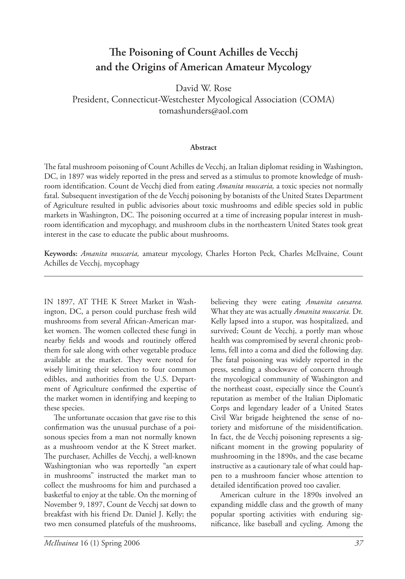## The Poisoning of Count Achilles de Vecchj **and the Origins of American Amateur Mycology**

David W. Rose

President, Connecticut-Westchester Mycological Association (COMA) tomashunders@aol.com

## **Abstract**

The fatal mushroom poisoning of Count Achilles de Vecchj, an Italian diplomat residing in Washington, DC, in 1897 was widely reported in the press and served as a stimulus to promote knowledge of mushroom identification. Count de Vecchj died from eating *Amanita muscaria*, a toxic species not normally fatal. Subsequent investigation of the de Vecchj poisoning by botanists of the United States Department of Agriculture resulted in public advisories about toxic mushrooms and edible species sold in public markets in Washington, DC. The poisoning occurred at a time of increasing popular interest in mushroom identification and mycophagy, and mushroom clubs in the northeastern United States took great interest in the case to educate the public about mushrooms.

**Keywords:** *Amanita muscaria,* amateur mycology, Charles Horton Peck, Charles McIlvaine, Count Achilles de Vecchj, mycophagy

IN 1897, AT THE K Street Market in Washington, DC, a person could purchase fresh wild mushrooms from several African-American market women. The women collected these fungi in nearby fields and woods and routinely offered them for sale along with other vegetable produce available at the market. They were noted for wisely limiting their selection to four common edibles, and authorities from the U.S. Department of Agriculture confirmed the expertise of the market women in identifying and keeping to these species.

The unfortunate occasion that gave rise to this confirmation was the unusual purchase of a poisonous species from a man not normally known as a mushroom vendor at the K Street market. The purchaser, Achilles de Vecchj, a well-known Washingtonian who was reportedly "an expert in mushrooms" instructed the market man to collect the mushrooms for him and purchased a basketful to enjoy at the table. On the morning of November 9, 1897, Count de Vecchj sat down to breakfast with his friend Dr. Daniel J. Kelly; the two men consumed platefuls of the mushrooms,

believing they were eating *Amanita caesarea.* What they ate was actually *Amanita muscaria.* Dr. Kelly lapsed into a stupor, was hospitalized, and survived; Count de Vecchj, a portly man whose health was compromised by several chronic problems, fell into a coma and died the following day. The fatal poisoning was widely reported in the press, sending a shockwave of concern through the mycological community of Washington and the northeast coast, especially since the Count's reputation as member of the Italian Diplomatic Corps and legendary leader of a United States Civil War brigade heightened the sense of notoriety and misfortune of the misidentification. In fact, the de Vecchj poisoning represents a significant moment in the growing popularity of mushrooming in the 1890s, and the case became instructive as a cautionary tale of what could happen to a mushroom fancier whose attention to detailed identification proved too cavalier.

 American culture in the 1890s involved an expanding middle class and the growth of many popular sporting activities with enduring significance, like baseball and cycling. Among the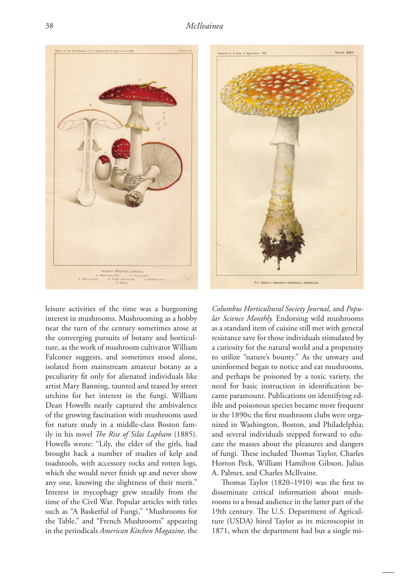

leisure activities of the time was a burgeoning interest in mushrooms. Mushrooming as a hobby near the turn of the century sometimes arose at the converging pursuits of botany and horticulture, as the work of mushroom cultivator William Falconer suggests, and sometimes stood alone, isolated from mainstream amateur botany as a peculiarity fit only for alienated individuals like artist Mary Banning, taunted and teased by street urchins for her interest in the fungi. William Dean Howells neatly captured the ambivalence of the growing fascination with mushrooms used for nature study in a middle-class Boston family in his novel *The Rise of Silas Lapham* (1885). Howells wrote: "Lily, the elder of the girls, had brought back a number of studies of kelp and toadstools, with accessory rocks and rotten logs, which she would never finish up and never show any one, knowing the slightness of their merit." Interest in mycophagy grew steadily from the time of the Civil War. Popular articles with titles such as "A Basketful of Fungi," "Mushrooms for the Table," and "French Mushrooms" appearing in the periodicals *American Kitchen Magazine,* the



*Columbus Horticultural Society Journal,* and *Popular Science Monthly.* Endorsing wild mushrooms as a standard item of cuisine still met with general resistance save for those individuals stimulated by a curiosity for the natural world and a propensity to utilize "nature's bounty." As the unwary and uninformed began to notice and eat mushrooms, and perhaps be poisoned by a toxic variety, the need for basic instruction in identification became paramount. Publications on identifying edible and poisonous species became more frequent in the 1890s; the first mushroom clubs were organized in Washington, Boston, and Philadelphia; and several individuals stepped forward to educate the masses about the pleasures and dangers of fungi. These included Thomas Taylor, Charles Horton Peck, William Hamilton Gibson, Julius A. Palmer, and Charles McIlvaine.

Thomas Taylor (1820–1910) was the first to disseminate critical information about mushrooms to a broad audience in the latter part of the 19th century. The U.S. Department of Agriculture (USDA) hired Taylor as its microscopist in 1871, when the department had but a single mi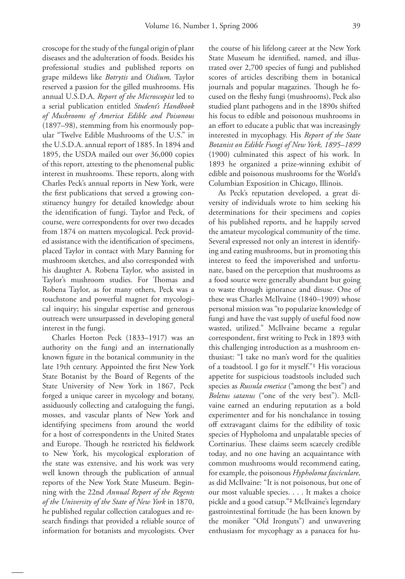croscope for the study of the fungal origin of plant diseases and the adulteration of foods. Besides his professional studies and published reports on grape mildews like *Botrytis* and *Oidium,* Taylor reserved a passion for the gilled mushrooms. His annual U.S.D.A. *Report of the Microscopist* led to a serial publication entitled *Student's Handbook of Mushrooms of America Edible and Poisonous* (1897–98), stemming from his enormously popular "Twelve Edible Mushrooms of the U.S." in the U.S.D.A. annual report of 1885. In 1894 and 1895, the USDA mailed out over 36,000 copies of this report, attesting to the phenomenal public interest in mushrooms. These reports, along with Charles Peck's annual reports in New York, were the first publications that served a growing constituency hungry for detailed knowledge about the identification of fungi. Taylor and Peck, of course, were correspondents for over two decades from 1874 on matters mycological. Peck provided assistance with the identification of specimens, placed Taylor in contact with Mary Banning for mushroom sketches, and also corresponded with his daughter A. Robena Taylor, who assisted in Taylor's mushroom studies. For Thomas and Robena Taylor, as for many others, Peck was a touchstone and powerful magnet for mycological inquiry; his singular expertise and generous outreach were unsurpassed in developing general interest in the fungi.

 Charles Horton Peck (1833–1917) was an authority on the fungi and an internationally known figure in the botanical community in the late 19th century. Appointed the first New York State Botanist by the Board of Regents of the State University of New York in 1867, Peck forged a unique career in mycology and botany, assiduously collecting and cataloguing the fungi, mosses, and vascular plants of New York and identifying specimens from around the world for a host of correspondents in the United States and Europe. Though he restricted his fieldwork to New York, his mycological exploration of the state was extensive, and his work was very well known through the publication of annual reports of the New York State Museum. Beginning with the 22nd *Annual Report of the Regents of the University of the State of New York* in 1870, he published regular collection catalogues and research findings that provided a reliable source of information for botanists and mycologists. Over

the course of his lifelong career at the New York State Museum he identified, named, and illustrated over 2,700 species of fungi and published scores of articles describing them in botanical journals and popular magazines. Though he focused on the fleshy fungi (mushrooms), Peck also studied plant pathogens and in the 1890s shifted his focus to edible and poisonous mushrooms in an effort to educate a public that was increasingly interested in mycophagy. His *Report of the State Botanist on Edible Fungi of New York, 1895–1899* (1900) culminated this aspect of his work. In 1893 he organized a prize-winning exhibit of edible and poisonous mushrooms for the World's Columbian Exposition in Chicago, Illinois.

 As Peck's reputation developed, a great diversity of individuals wrote to him seeking his determinations for their specimens and copies of his published reports, and he happily served the amateur mycological community of the time. Several expressed not only an interest in identifying and eating mushrooms, but in promoting this interest to feed the impoverished and unfortunate, based on the perception that mushrooms as a food source were generally abundant but going to waste through ignorance and disuse. One of these was Charles McIlvaine (1840–1909) whose personal mission was "to popularize knowledge of fungi and have the vast supply of useful food now wasted, utilized." McIlvaine became a regular correspondent, first writing to Peck in 1893 with this challenging introduction as a mushroom enthusiast: "I take no man's word for the qualities of a toadstool. I go for it myself."<sup>1</sup> His voracious appetite for suspicious toadstools included such species as *Russula emetica* ("among the best") and *Boletus satanus* ("one of the very best"). McIlvaine earned an enduring reputation as a bold experimenter and for his nonchalance in tossing off extravagant claims for the edibility of toxic species of Hypholoma and unpalatable species of Cortinarius. These claims seem scarcely credible today, and no one having an acquaintance with common mushrooms would recommend eating, for example, the poisonous *Hypholoma fasciculare,*  as did McIlvaine: "It is not poisonous, but one of our most valuable species. . . . It makes a choice pickle and a good catsup."² McIlvaine's legendary gastrointestinal fortitude (he has been known by the moniker "Old Ironguts") and unwavering enthusiasm for mycophagy as a panacea for hu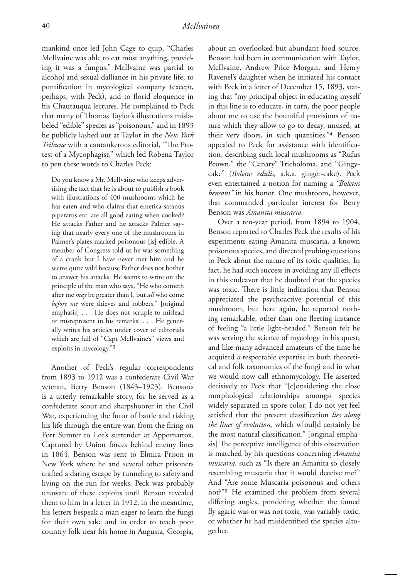mankind once led John Cage to quip, "Charles McIlvaine was able to eat most anything, providing it was a fungus." McIlvaine was partial to alcohol and sexual dalliance in his private life, to pontification in mycological company (except, perhaps, with Peck), and to florid eloquence in his Chautauqua lectures. He complained to Peck that many of Thomas Taylor's illustrations mislabeled "edible" species as "poisonous," and in 1893 he publicly lashed out at Taylor in the *New York Tribune* with a cantankerous editorial, "The Protest of a Mycophagist," which led Robena Taylor to pen these words to Charles Peck:

Do you know a Mr. McIlvaine who keeps advertising the fact that he is about to publish a book with illustrations of 400 mushrooms which he has eaten and who claims that emetica satanus piperatus etc. are all good eating when cooked? He attacks Father and he attacks Palmer saying that nearly every one of the mushrooms in Palmer's plates marked poisonous [is] edible. A member of Congress told us he was something of a crank but I have never met him and he seems quite wild because Father does not bother to answer his attacks. He seems to write on the principle of the man who says, "He who cometh after me *may* be greater than I, but *all* who come *before me* were thieves and robbers." [original emphasis] . . . He does not scruple to mislead or misrepresent in his remarks. . . . He generally writes his articles under cover of editorials which are full of "Capt McIlvaine's" views and exploits in mycology."³

 Another of Peck's regular correspondents from 1893 to 1912 was a confederate Civil War veteran, Berry Benson (1843-1923). Benson's is a utterly remarkable story, for he served as a con federate scout and sharpshooter in the Civil War, experiencing the furor of battle and risking his life through the entire war, from the firing on Fort Sumter to Lee's surrender at Appomattox. Captured by Union forces behind enemy lines in 1864, Benson was sent to Elmira Prison in New York where he and several other prisoners crafted a daring escape by tunneling to safety and living on the run for weeks. Peck was probably unaware of these exploits until Benson revealed them to him in a letter in 1912; in the meantime, his letters bespeak a man eager to learn the fungi for their own sake and in order to teach poor country folk near his home in Augusta, Georgia,

about an overlooked but abundant food source. Benson had been in communication with Taylor, McIlvaine, Andrew Price Morgan, and Henry Ravenel's daughter when he initiated his contact with Peck in a letter of December 15, 1893, stating that "my principal object in educating myself in this line is to educate, in turn, the poor people about me to use the bountiful provisions of nature which they allow to go to decay, unused, at their very doors, in such quantities."<sup>4</sup> Benson appealed to Peck for assistance with identification, describing such local mushrooms as "Rufus Brown," the "Canary" Tricholoma, and "Gingycake" (*Boletus edulis,* a.k.a. ginger-cake). Peck even entertained a notion for naming a *"Boletus bensoni"* in his honor. One mushroom, however, that commanded particular interest for Berry Benson was *Amanita muscaria.* 

 Over a ten-year period, from 1894 to 1904, Benson reported to Charles Peck the results of his experiments eating Amanita muscaria, a known poisonous species, and directed probing questions to Peck about the nature of its toxic qualities. In fact, he had such success in avoiding any ill effects in this endeavor that he doubted that the species was toxic. There is little indication that Benson appreciated the psychoactive potential of this mushroom, but here again, he reported nothing remarkable, other than one fleeting instance of feeling "a little light-headed." Benson felt he was serving the science of mycology in his quest, and like many advanced amateurs of the time he acquired a respectable expertise in both theoretical and folk taxonomies of the fungi and in what we would now call ethnomycology. He asserted decisively to Peck that "[c]onsidering the close morphological relationships amongst species widely separated in spore-color, I do not yet feel satisfied that the present classification lies along *the lines of evolution,* which w[oul]d certainly be the most natural classification." [original emphasis] The perceptive intelligence of this observation is matched by his questions concerning *Amanita muscaria,* such as "Is there an Amanita so closely resembling muscaria that it would deceive me?" And "Are some Muscaria poisonous and others not?"<sup>5</sup> He examined the problem from several differing angles, pondering whether the famed fly agaric was or was not toxic, was variably toxic, or whether he had misidentified the species altogether.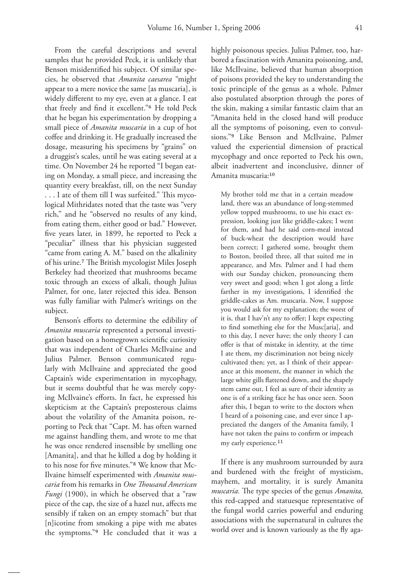From the careful descriptions and several samples that he provided Peck, it is unlikely that Benson misidentified his subject. Of similar species, he observed that *Amanita caesarea* "might appear to a mere novice the same [as muscaria], is widely different to my eye, even at a glance. I eat that freely and find it excellent."<sup>6</sup> He told Peck that he began his experimentation by dropping a small piece of *Amanita muscaria* in a cup of hot coffee and drinking it. He gradually increased the dosage, measuring his specimens by "grains" on a druggist's scales, until he was eating several at a time. On November 24 he reported "I began eating on Monday, a small piece, and increasing the quantity every breakfast, till, on the next Sunday . . . I ate of them till I was surfeited." This mycological Mithridates noted that the taste was "very rich," and he "observed no results of any kind, from eating them, either good or bad." However, five years later, in 1899, he reported to Peck a "peculiar" illness that his physician suggested "came from eating A. M." based on the alkalinity of his urine.<sup>7</sup> The British mycologist Miles Joseph Berkeley had theorized that mushrooms became toxic through an excess of alkali, though Julius Palmer, for one, later rejected this idea. Benson was fully familiar with Palmer's writings on the subject.

Benson's efforts to determine the edibility of *Amanita muscaria* represented a personal investigation based on a homegrown scientific curiosity that was independent of Charles McIlvaine and Julius Palmer. Benson communicated regularly with McIlvaine and appreciated the good Captain's wide experimentation in mycophagy, but it seems doubtful that he was merely copying McIlvaine's efforts. In fact, he expressed his skepticism at the Captain's preposterous claims about the volatility of the Amanita poison, reporting to Peck that "Capt. M. has often warned me against handling them, and wrote to me that he was once rendered insensible by smelling one [Amanita], and that he killed a dog by holding it to his nose for five minutes."<sup>8</sup> We know that Mc-Ilvaine himself experimented with *Amanita muscaria* from his remarks in *One Th ousand American Fungi* (1900), in which he observed that a "raw piece of the cap, the size of a hazel nut, affects me sensibly if taken on an empty stomach" but that [n]icotine from smoking a pipe with me abates the symptoms."<sup>9</sup> He concluded that it was a

highly poisonous species. Julius Palmer, too, harbored a fascination with Amanita poisoning, and, like McIlvaine, believed that human absorption of poisons provided the key to understanding the toxic principle of the genus as a whole. Palmer also postulated absorption through the pores of the skin, making a similar fantastic claim that an "Amanita held in the closed hand will produce all the symptoms of poisoning, even to convulsions."<sup>9</sup> Like Benson and McIlvaine, Palmer valued the experiential dimension of practical mycophagy and once reported to Peck his own, albeit inadvertent and inconclusive, dinner of Amanita muscaria:<sup>10</sup>

My brother told me that in a certain meadow land, there was an abundance of long-stemmed yellow topped mushrooms, to use his exact expression, looking just like griddle-cakes; I went for them, and had he said corn-meal instead of buck-wheat the description would have been correct; I gathered some, brought them to Boston, broiled three, all that suited me in appearance, and Mrs. Palmer and I had them with our Sunday chicken, pronouncing them very sweet and good; when I got along a little farther in my investigations, I identified the griddle-cakes as Am. muscaria. Now, I suppose you would ask for my explanation; the worst of it is, that I hav'n't any to offer; I kept expecting to find something else for the Musc[aria], and to this day, I never have; the only theory I can offer is that of mistake in identity, at the time I ate them, my discrimination not being nicely cultivated then; yet, as I think of their appearance at this moment, the manner in which the large white gills flattened down, and the shapely stem came out, I feel as sure of their identity as one is of a striking face he has once seen. Soon after this, I began to write to the doctors when I heard of a poisoning case, and ever since I appreciated the dangers of the Amanita family, I have not taken the pains to confirm or impeach my early experience.<sup>11</sup>

 If there is any mushroom surrounded by aura and burdened with the freight of mysticism, mayhem, and mortality, it is surely Amanita *muscaria*. The type species of the genus *Amanita*, this red-capped and statuesque representative of the fungal world carries powerful and enduring associations with the supernatural in cultures the world over and is known variously as the fly aga-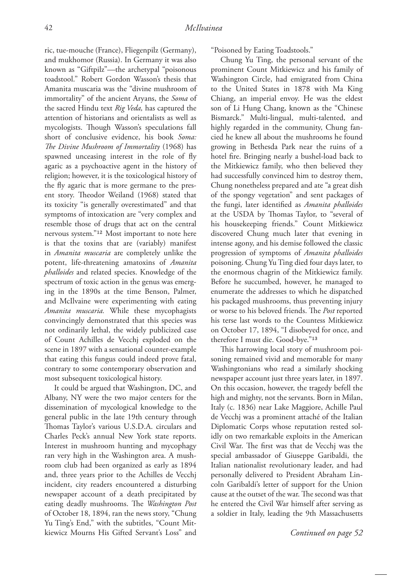ric, tue-mouche (France), Fliegenpilz (Germany), and mukhomor (Russia). In Germany it was also known as "Giftpilz"—the archetypal "poisonous toadstool." Robert Gordon Wasson's thesis that Amanita muscaria was the "divine mushroom of immortality" of the ancient Aryans, the *Soma* of the sacred Hindu text *Rig Veda,* has captured the attention of historians and orientalists as well as mycologists. Though Wasson's speculations fall short of conclusive evidence, his book *Soma: The Divine Mushroom of Immortality* (1968) has spawned unceasing interest in the role of fly agaric as a psychoactive agent in the history of religion; however, it is the toxicological history of the fly agaric that is more germane to the present story. Theodor Weiland (1968) stated that its toxicity "is generally overestimated" and that symptoms of intoxication are "very complex and resemble those of drugs that act on the central nervous system."<sup>12</sup> Most important to note here is that the toxins that are (variably) manifest in *Amanita muscaria* are completely unlike the potent, life-threatening amatoxins of *Amanita phalloides* and related species. Knowledge of the spectrum of toxic action in the genus was emerging in the 1890s at the time Benson, Palmer, and McIlvaine were experimenting with eating *Amanita muscaria.* While these mycophagists convincingly demonstrated that this species was not ordinarily lethal, the widely publicized case of Count Achilles de Vecchj exploded on the scene in 1897 with a sensational counter-example that eating this fungus could indeed prove fatal, contrary to some contemporary observation and most subsequent toxicological history.

 It could be argued that Washington, DC, and Albany, NY were the two major centers for the dissemination of mycological knowledge to the general public in the late 19th century through Thomas Taylor's various U.S.D.A. circulars and Charles Peck's annual New York state reports. Interest in mushroom hunting and mycophagy ran very high in the Washington area. A mushroom club had been organized as early as 1894 and, three years prior to the Achilles de Vecchj incident, city readers encountered a disturbing newspaper account of a death precipitated by eating deadly mushrooms. The *Washington Post* of October 18, 1894, ran the news story, "Chung Yu Ting's End," with the subtitles, "Count Mitkiewicz Mourns His Gifted Servant's Loss" and

"Poisoned by Eating Toadstools."

 Chung Yu Ting, the personal servant of the prominent Count Mitkiewicz and his family of Washington Circle, had emigrated from China to the United States in 1878 with Ma King Chiang, an imperial envoy. He was the eldest son of Li Hung Chang, known as the "Chinese Bismarck." Multi-lingual, multi-talented, and highly regarded in the community, Chung fancied he knew all about the mushrooms he found growing in Bethesda Park near the ruins of a hotel fire. Bringing nearly a bushel-load back to the Mitkiewicz family, who then believed they had successfully convinced him to destroy them, Chung nonetheless prepared and ate "a great dish of the spongy vegetation" and sent packages of the fungi, later identified as *Amanita phalloides* at the USDA by Thomas Taylor, to "several of his housekeeping friends." Count Mitkiewicz discovered Chung much later that evening in intense agony, and his demise followed the classic progression of symptoms of *Amanita phalloides*  poisoning. Chung Yu Ting died four days later, to the enormous chagrin of the Mitkiewicz family. Before he succumbed, however, he managed to enumerate the addresses to which he dispatched his packaged mushrooms, thus preventing injury or worse to his beloved friends. The *Post* reported his terse last words to the Countess Mitkiewicz on October 17, 1894, "I disobeyed for once, and therefore I must die. Good-bye."<sup>13</sup>

This harrowing local story of mushroom poisoning remained vivid and memorable for many Washingtonians who read a similarly shocking newspaper account just three years later, in 1897. On this occasion, however, the tragedy befell the high and mighty, not the servants. Born in Milan, Italy (c. 1836) near Lake Maggiore, Achille Paul de Vecchj was a prominent attaché of the Italian Diplomatic Corps whose reputation rested solidly on two remarkable exploits in the American Civil War. The first was that de Vecchj was the special ambassador of Giuseppe Garibaldi, the Italian nationalist revolutionary leader, and had personally delivered to President Abraham Lincoln Garibaldi's letter of support for the Union cause at the outset of the war. The second was that he entered the Civil War himself after serving as a soldier in Italy, leading the 9th Massachusetts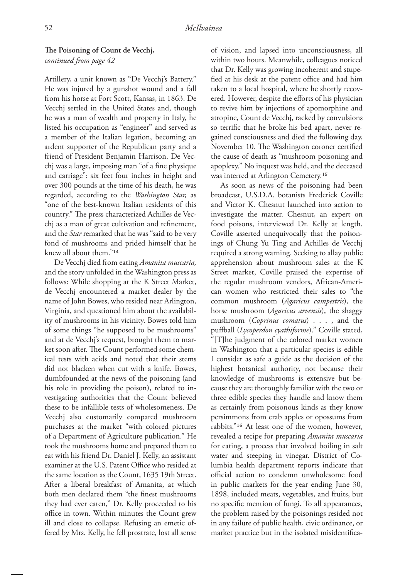## The Poisoning of Count de Vecchj,

*continued from page 42*

Artillery, a unit known as "De Vecchj's Battery." He was injured by a gunshot wound and a fall from his horse at Fort Scott, Kansas, in 1863. De Vecchj settled in the United States and, though he was a man of wealth and property in Italy, he listed his occupation as "engineer" and served as a member of the Italian legation, becoming an ardent supporter of the Republican party and a friend of President Benjamin Harrison. De Vecchj was a large, imposing man "of a fine physique and carriage": six feet four inches in height and over 300 pounds at the time of his death, he was regarded, according to the *Washington Star,* as "one of the best-known Italian residents of this country." The press characterized Achilles de Vecchj as a man of great cultivation and refinement, and the *Star* remarked that he was "said to be very fond of mushrooms and prided himself that he knew all about them."<sup>14</sup>

 De Vecchj died from eating *Amanita muscaria,* and the story unfolded in the Washington press as follows: While shopping at the K Street Market, de Vecchj encountered a market dealer by the name of John Bowes, who resided near Arlington, Virginia, and questioned him about the availability of mushrooms in his vicinity. Bowes told him of some things "he supposed to be mushrooms" and at de Vecchj's request, brought them to market soon after. The Count performed some chemical tests with acids and noted that their stems did not blacken when cut with a knife. Bowes, dumbfounded at the news of the poisoning (and his role in providing the poison), related to investigating authorities that the Count believed these to be infallible tests of wholesomeness. De Vecchj also customarily compared mushroom purchases at the market "with colored pictures of a Department of Agriculture publication." He took the mushrooms home and prepared them to eat with his friend Dr. Daniel J. Kelly, an assistant examiner at the U.S. Patent Office who resided at the same location as the Count, 1635 19th Street. After a liberal breakfast of Amanita, at which both men declared them "the finest mushrooms they had ever eaten," Dr. Kelly proceeded to his office in town. Within minutes the Count grew ill and close to collapse. Refusing an emetic offered by Mrs. Kelly, he fell prostrate, lost all sense

of vision, and lapsed into unconsciousness, all within two hours. Meanwhile, colleagues noticed that Dr. Kelly was growing incoherent and stupefied at his desk at the patent office and had him taken to a local hospital, where he shortly recovered. However, despite the efforts of his physician to revive him by injections of apomorphine and atropine, Count de Vecchj, racked by convulsions so terrific that he broke his bed apart, never regained consciousness and died the following day, November 10. The Washington coroner certified the cause of death as "mushroom poisoning and apoplexy." No inquest was held, and the deceased was interred at Arlington Cemetery.<sup>15</sup>

As soon as news of the poisoning had been broadcast, U.S.D.A. botanists Frederick Coville and Victor K. Chesnut launched into action to investigate the matter. Chesnut, an expert on food poisons, interviewed Dr. Kelly at length. Coville asserted unequivocally that the poisonings of Chung Yu Ting and Achilles de Vecchj required a strong warning. Seeking to allay public apprehension about mushroom sales at the K Street market, Coville praised the expertise of the regular mushroom vendors, African-American women who restricted their sales to "the common mushroom (*Agaricus campestris*), the horse mushroom (*Agaricus arvensis*), the shaggy mushroom (*Coprinus comatus*) . . . , and the puffball (*Lycoperdon cyathiforme*)." Coville stated, "[T]he judgment of the colored market women in Washington that a particular species is edible I consider as safe a guide as the decision of the highest botanical authority, not because their knowledge of mushrooms is extensive but because they are thoroughly familiar with the two or three edible species they handle and know them as certainly from poisonous kinds as they know persimmons from crab apples or opossums from rabbits."<sup>16</sup> At least one of the women, however, revealed a recipe for preparing *Amanita muscaria*  for eating, a process that involved boiling in salt water and steeping in vinegar. District of Columbia health department reports indicate that official action to condemn unwholesome food in public markets for the year ending June 30, 1898, included meats, vegetables, and fruits, but no specific mention of fungi. To all appearances, the problem raised by the poisonings resided not in any failure of public health, civic ordinance, or market practice but in the isolated misidentifica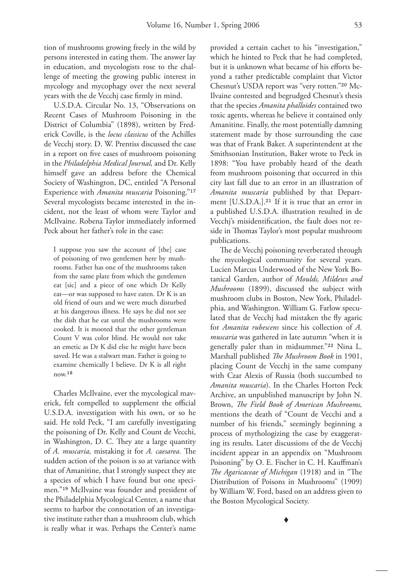tion of mushrooms growing freely in the wild by persons interested in eating them. The answer lay in education, and mycologists rose to the challenge of meeting the growing public interest in mycology and mycophagy over the next several years with the de Vecchj case firmly in mind.

 U.S.D.A. Circular No. 13, "Observations on Recent Cases of Mushroom Poisoning in the District of Columbia" (1898), written by Frederick Coville, is the *locus classicus* of the Achilles de Vecchj story. D. W. Prentiss discussed the case in a report on five cases of mushroom poisoning in the *Philadelphia Medical Journal,* and Dr. Kelly himself gave an address before the Chemical Society of Washington, DC, entitled "A Personal Experience with *Amanita muscaria* Poisoning."<sup>17</sup> Several mycologists became interested in the incident, not the least of whom were Taylor and McIlvaine. Robena Taylor immediately informed Peck about her father's role in the case:

I suppose you saw the account of [the] case of poisoning of two gentlemen here by mushrooms. Father has one of the mushrooms taken from the same plate from which the gentlemen eat [sic] and a piece of one which Dr Kelly eat—or was supposed to have eaten. Dr K is an old friend of ours and we were much disturbed at his dangerous illness. He says he did not see the dish that he eat until the mushrooms were cooked. It is mooted that the other gentleman Count V was color blind. He would not take an emetic as Dr K did else he might have been saved. He was a stalwart man. Father is going to examine chemically I believe. Dr K is all right  $now.<sup>18</sup>$ 

 Charles McIlvaine, ever the mycological maverick, felt compelled to supplement the official U.S.D.A. investigation with his own, or so he said. He told Peck, "I am carefully investigating the poisoning of Dr. Kelly and Count de Vecchi, in Washington, D. C. They ate a large quantity of *A. muscaria*, mistaking it for *A. caesarea*. The sudden action of the poison is so at variance with that of Amanitine, that I strongly suspect they ate a species of which I have found but one specimen."<sup>19</sup> McIlvaine was founder and president of the Philadelphia Mycological Center, a name that seems to harbor the connotation of an investigative institute rather than a mushroom club, which is really what it was. Perhaps the Center's name

provided a certain cachet to his "investigation," which he hinted to Peck that he had completed, but it is unknown what became of his efforts beyond a rather predictable complaint that Victor Chesnut's USDA report was "very rotten."20 Mc-Ilvaine contested and begrudged Chesnut's thesis that the species *Amanita phalloides* contained two toxic agents, whereas he believe it contained only Amanitine. Finally, the most potentially damning statement made by those surrounding the case was that of Frank Baker. A superintendent at the Smithsonian Institution, Baker wrote to Peck in 1898: "You have probably heard of the death from mushroom poisoning that occurred in this city last fall due to an error in an illustration of *Amanita muscaria* published by that Department [U.S.D.A.].<sup>21</sup> If it is true that an error in a published U.S.D.A. illustration resulted in de Vecchj's misidentification, the fault does not reside in Thomas Taylor's most popular mushroom publications.

The de Vecchj poisoning reverberated through the mycological community for several years. Lucien Marcus Underwood of the New York Botanical Garden, author of *Moulds, Mildews and Mushrooms* (1899), discussed the subject with mushroom clubs in Boston, New York, Philadelphia, and Washington. William G. Farlow speculated that de Vecchj had mistaken the fly agaric for *Amanita rubescens* since his collection of *A. muscaria* was gathered in late autumn "when it is generally paler than in midsummer."<sup>22</sup> Nina L. Marshall published *The Mushroom Book* in 1901, placing Count de Vecchj in the same company with Czar Alexis of Russia (both succumbed to *Amanita muscaria*). In the Charles Horton Peck Archive, an unpublished manuscript by John N. Brown, *The Field Book of American Mushrooms*, mentions the death of "Count de Vecchi and a number of his friends," seemingly beginning a process of mythologizing the case by exaggerating its results. Later discussions of the de Vecchj incident appear in an appendix on "Mushroom Poisoning" by O. E. Fischer in C. H. Kauffman's *The Agaricaceae of Michigan* (1918) and in "The Distribution of Poisons in Mushrooms" (1909) by William W. Ford, based on an address given to the Boston Mycological Society.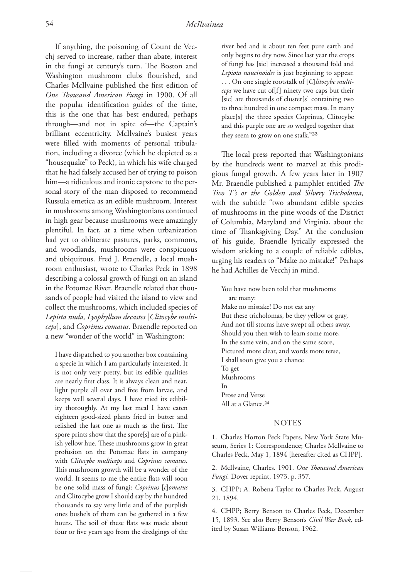If anything, the poisoning of Count de Vecchj served to increase, rather than abate, interest in the fungi at century's turn. The Boston and Washington mushroom clubs flourished, and Charles McIlvaine published the first edition of One Thousand American Fungi in 1900. Of all the popular identification guides of the time, this is the one that has best endured, perhaps through—and not in spite of—the Captain's brilliant eccentricity. McIlvaine's busiest years were filled with moments of personal tribulation, including a divorce (which he depicted as a "housequake" to Peck), in which his wife charged that he had falsely accused her of trying to poison him—a ridiculous and ironic capstone to the personal story of the man disposed to recommend Russula emetica as an edible mushroom. Interest in mushrooms among Washingtonians continued in high gear because mushrooms were amazingly plentiful. In fact, at a time when urbanization had yet to obliterate pastures, parks, commons, and woodlands, mushrooms were conspicuous and ubiquitous. Fred J. Braendle, a local mushroom enthusiast, wrote to Charles Peck in 1898 describing a colossal growth of fungi on an island in the Potomac River. Braendle related that thousands of people had visited the island to view and collect the mushrooms, which included species of *Lepista nuda, Lyophyllum decastes* [*Clitocybe multiceps*], and *Coprinus comatus.* Braendle reported on a new "wonder of the world" in Washington:

I have dispatched to you another box containing a specie in which I am particularly interested. It is not only very pretty, but its edible qualities are nearly first class. It is always clean and neat, light purple all over and free from larvae, and keeps well several days. I have tried its edibility thoroughly. At my last meal I have eaten eighteen good-sized plants fried in butter and relished the last one as much as the first. The spore prints show that the spore[s] are of a pinkish yellow hue. These mushrooms grow in great profusion on the Potomac flats in company with *Clitocybe multiceps* and *Coprinus comatus.*  This mushroom growth will be a wonder of the world. It seems to me the entire flats will soon be one solid mass of fungi: *Coprinus* [*c*]*omatus* and Clitocybe grow I should say by the hundred thousands to say very little and of the purplish ones bushels of them can be gathered in a few hours. The soil of these flats was made about four or five years ago from the dredgings of the river bed and is about ten feet pure earth and only begins to dry now. Since last year the crops of fungi has [sic] increased a thousand fold and *Lepiota naucinoides* is just beginning to appear. . . . On one single rootstalk of [*C*]*litocybe multiceps* we have cut of[f] ninety two caps but their [sic] are thousands of cluster[s] containing two to three hundred in one compact mass. In many place[s] the three species Coprinus, Clitocybe and this purple one are so wedged together that they seem to grow on one stalk."23

The local press reported that Washingtonians by the hundreds went to marvel at this prodigious fungal growth. A few years later in 1907 Mr. Braendle published a pamphlet entitled *The Two T's or the Golden and Silvery Tricholoma,*  with the subtitle "two abundant edible species of mushrooms in the pine woods of the District of Columbia, Maryland and Virginia, about the time of Thanksgiving Day." At the conclusion of his guide, Braendle lyrically expressed the wisdom sticking to a couple of reliable edibles, urging his readers to "Make no mistake!" Perhaps he had Achilles de Vecchj in mind.

You have now been told that mushrooms are many: Make no mistake! Do not eat any But these tricholomas, be they yellow or gray, And not till storms have swept all others away. Should you then wish to learn some more, In the same vein, and on the same score, Pictured more clear, and words more terse, I shall soon give you a chance To get Mushrooms In Prose and Verse All at a Glance.<sup>24</sup>

## NOTES

1. Charles Horton Peck Papers, New York State Museum, Series 1: Correspondence; Charles McIlvaine to Charles Peck, May 1, 1894 [hereafter cited as CHPP].

2. McIlvaine, Charles. 1901. One Thousand American *Fungi.* Dover reprint, 1973. p. 357.

3. CHPP; A. Robena Taylor to Charles Peck, August 21, 1894.

4. CHPP; Berry Benson to Charles Peck, December 15, 1893. See also Berry Benson's *Civil War Book,* edited by Susan Williams Benson, 1962.